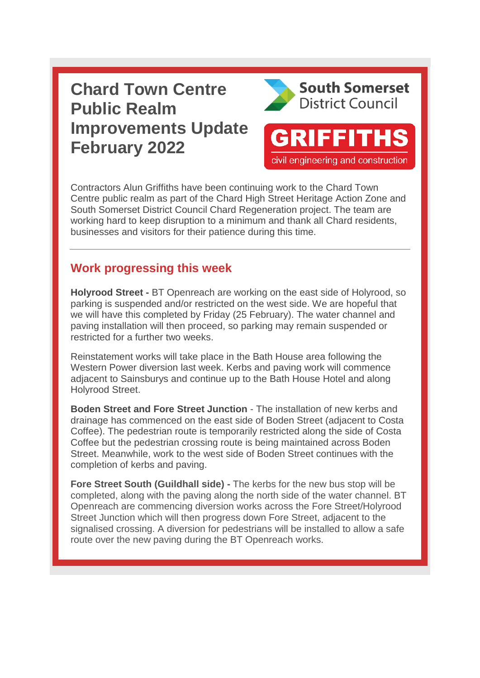## **Chard Town Centre Public Realm Improvements Update February 2022**



**GRIFFITHS** 

civil engineering and construction

Contractors Alun Griffiths have been continuing work to the Chard Town Centre public realm as part of the Chard High Street Heritage Action Zone and South Somerset District Council Chard Regeneration project. The team are working hard to keep disruption to a minimum and thank all Chard residents, businesses and visitors for their patience during this time.

## **Work progressing this week**

**Holyrood Street -** BT Openreach are working on the east side of Holyrood, so parking is suspended and/or restricted on the west side. We are hopeful that we will have this completed by Friday (25 February). The water channel and paving installation will then proceed, so parking may remain suspended or restricted for a further two weeks.

Reinstatement works will take place in the Bath House area following the Western Power diversion last week. Kerbs and paving work will commence adjacent to Sainsburys and continue up to the Bath House Hotel and along Holyrood Street.

**Boden Street and Fore Street Junction** - The installation of new kerbs and drainage has commenced on the east side of Boden Street (adjacent to Costa Coffee). The pedestrian route is temporarily restricted along the side of Costa Coffee but the pedestrian crossing route is being maintained across Boden Street. Meanwhile, work to the west side of Boden Street continues with the completion of kerbs and paving.

**Fore Street South (Guildhall side) -** The kerbs for the new bus stop will be completed, along with the paving along the north side of the water channel. BT Openreach are commencing diversion works across the Fore Street/Holyrood Street Junction which will then progress down Fore Street, adjacent to the signalised crossing. A diversion for pedestrians will be installed to allow a safe route over the new paving during the BT Openreach works.